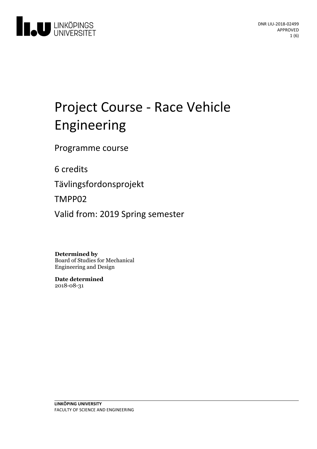

# Project Course - Race Vehicle Engineering

Programme course

6 credits

Tävlingsfordonsprojekt

TMPP02

Valid from: 2019 Spring semester

**Determined by**

Board of Studies for Mechanical Engineering and Design

**Date determined** 2018-08-31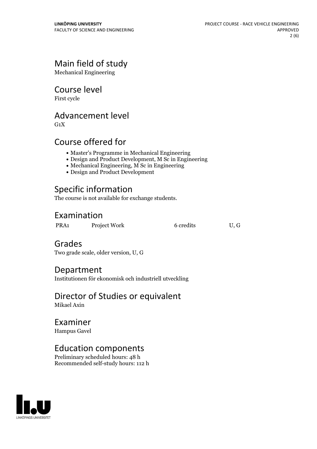# Main field of study

Mechanical Engineering

### Course level

First cycle

# Advancement level

 $G_1X$ 

# Course offered for

- Master's Programme in Mechanical Engineering
- Design and Product Development, M Sc in Engineering
- Mechanical Engineering, M Sc in Engineering
- Design and Product Development

# Specific information

The course is not available for exchange students.

# Examination

PRA1 Project Work 6 credits U, G

# Grades

Two grade scale, older version, U, G

### Department

Institutionen för ekonomisk och industriell utveckling

# Director of Studies or equivalent

Mikael Axin

# Examiner

Hampus Gavel

# Education components

Preliminary scheduled hours: 48 h Recommended self-study hours: 112 h

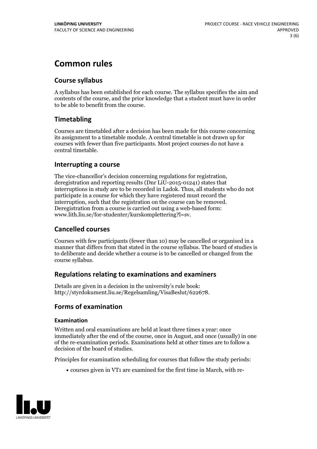# **Common rules**

### **Course syllabus**

A syllabus has been established for each course. The syllabus specifies the aim and contents of the course, and the prior knowledge that a student must have in order to be able to benefit from the course.

### **Timetabling**

Courses are timetabled after a decision has been made for this course concerning its assignment to a timetable module. A central timetable is not drawn up for courses with fewer than five participants. Most project courses do not have a central timetable.

### **Interrupting a course**

The vice-chancellor's decision concerning regulations for registration, deregistration and reporting results (Dnr LiU-2015-01241) states that interruptions in study are to be recorded in Ladok. Thus, all students who do not participate in a course for which they have registered must record the interruption, such that the registration on the course can be removed. Deregistration from <sup>a</sup> course is carried outusing <sup>a</sup> web-based form: www.lith.liu.se/for-studenter/kurskomplettering?l=sv.

### **Cancelled courses**

Courses with few participants (fewer than 10) may be cancelled or organised in a manner that differs from that stated in the course syllabus. The board of studies is to deliberate and decide whether a course is to be cancelled orchanged from the course syllabus.

### **Regulations relatingto examinations and examiners**

Details are given in a decision in the university's rule book: http://styrdokument.liu.se/Regelsamling/VisaBeslut/622678.

### **Forms of examination**

#### **Examination**

Written and oral examinations are held at least three times a year: once immediately after the end of the course, once in August, and once (usually) in one of the re-examination periods. Examinations held at other times are to follow a decision of the board of studies.

Principles for examination scheduling for courses that follow the study periods:

courses given in VT1 are examined for the first time in March, with re-

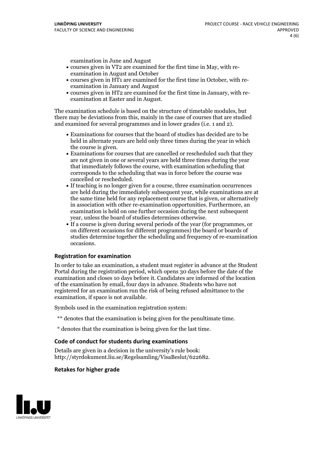examination in June and August

- courses given in VT2 are examined for the first time in May, with re-examination in August and October
- courses given in HT1 are examined for the first time in October, with re-examination in January and August
- courses given in HT2 are examined for the first time in January, with re-examination at Easter and in August.

The examination schedule is based on the structure of timetable modules, but there may be deviations from this, mainly in the case of courses that are studied and examined for several programmes and in lower grades (i.e. 1 and 2).

- Examinations for courses that the board of studies has decided are to be held in alternate years are held only three times during the year in which
- the course is given.<br>• Examinations for courses that are cancelled or rescheduled such that they are not given in one or several years are held three times during the year that immediately follows the course, with examination scheduling that corresponds to the scheduling that was in force before the course was cancelled or rescheduled.<br>• If teaching is no longer given for a course, three examination occurrences
- are held during the immediately subsequent year, while examinations are at the same time held for any replacement course that is given, or alternatively in association with other re-examination opportunities. Furthermore, an examination is held on one further occasion during the next subsequent year, unless the board of studies determines otherwise.<br>• If a course is given during several periods of the year (for programmes, or
- on different occasions for different programmes) the board orboards of studies determine together the scheduling and frequency of re-examination occasions.

#### **Registration for examination**

In order to take an examination, a student must register in advance at the Student Portal during the registration period, which opens 30 days before the date of the examination and closes 10 days before it. Candidates are informed of the location of the examination by email, four days in advance. Students who have not registered for an examination run the risk of being refused admittance to the examination, if space is not available.

Symbols used in the examination registration system:

- \*\* denotes that the examination is being given for the penultimate time.
- \* denotes that the examination is being given for the last time.

#### **Code of conduct for students during examinations**

Details are given in a decision in the university's rule book: http://styrdokument.liu.se/Regelsamling/VisaBeslut/622682.

#### **Retakes for higher grade**

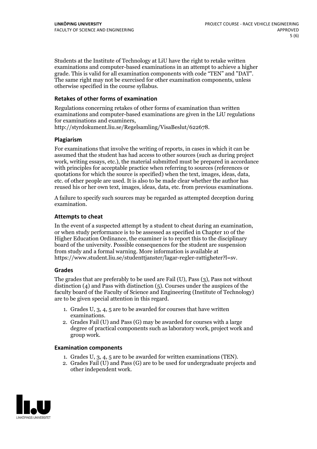Students at the Institute of Technology at LiU have the right to retake written examinations and computer-based examinations in an attempt to achieve a higher grade. This is valid for all examination components with code "TEN" and "DAT". The same right may not be exercised for other examination components, unless otherwise specified in the course syllabus.

### **Retakes of other forms of examination**

Regulations concerning retakes of other forms of examination than written examinations and computer-based examinations are given in the LiU regulations for examinations and examiners, http://styrdokument.liu.se/Regelsamling/VisaBeslut/622678.

#### **Plagiarism**

For examinations that involve the writing of reports, in cases in which it can be assumed that the student has had access to other sources (such as during project work, writing essays, etc.), the material submitted must be prepared in accordance with principles for acceptable practice when referring to sources (references or quotations for which the source is specified) when the text, images, ideas, data, etc. of other people are used. It is also to be made clear whether the author has reused his or her own text, images, ideas, data, etc. from previous examinations.

A failure to specify such sources may be regarded as attempted deception during examination.

#### **Attempts to cheat**

In the event of <sup>a</sup> suspected attempt by <sup>a</sup> student to cheat during an examination, or when study performance is to be assessed as specified in Chapter <sup>10</sup> of the Higher Education Ordinance, the examiner is to report this to the disciplinary board of the university. Possible consequences for the student are suspension from study and a formal warning. More information is available at https://www.student.liu.se/studenttjanster/lagar-regler-rattigheter?l=sv.

#### **Grades**

The grades that are preferably to be used are Fail (U), Pass (3), Pass not without distinction  $(4)$  and Pass with distinction  $(5)$ . Courses under the auspices of the faculty board of the Faculty of Science and Engineering (Institute of Technology) are to be given special attention in this regard.

- 1. Grades U, 3, 4, 5 are to be awarded for courses that have written
- examinations. 2. Grades Fail (U) and Pass (G) may be awarded for courses with <sup>a</sup> large degree of practical components such as laboratory work, project work and group work.

#### **Examination components**

- 
- 1. Grades U, 3, 4, <sup>5</sup> are to be awarded for written examinations (TEN). 2. Grades Fail (U) and Pass (G) are to be used for undergraduate projects and other independent work.